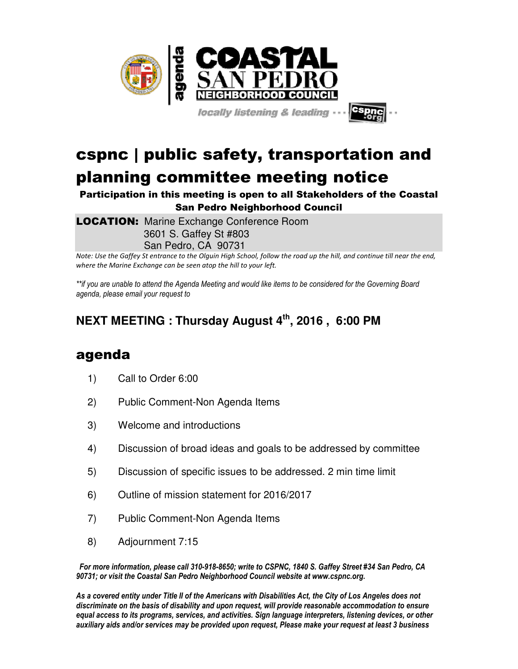

locally listening & leading

## cspnc | public safety, transportation and planning committee meeting notice

Participation in this meeting is open to all Stakeholders of the Coastal San Pedro Neighborhood Council

**LOCATION:** Marine Exchange Conference Room 3601 S. Gaffey St #803 San Pedro, CA 90731

*Note: Use the Gaffey St entrance to the Olguin High School, follow the road up the hill, and continue till near the end, where the Marine Exchange can be seen atop the hill to your left.* 

*\*\*if you are unable to attend the Agenda Meeting and would like items to be considered for the Governing Board agenda, please email your request to* 

## **NEXT MEETING : Thursday August 4th, 2016 , 6:00 PM**

## agenda

- 1) Call to Order 6:00
- 2) Public Comment-Non Agenda Items
- 3) Welcome and introductions
- 4) Discussion of broad ideas and goals to be addressed by committee
- 5) Discussion of specific issues to be addressed. 2 min time limit
- 6) Outline of mission statement for 2016/2017
- 7) Public Comment-Non Agenda Items
- 8) Adjournment 7:15

*For more information, please call 310-918-8650; write to CSPNC, 1840 S. Gaffey Street #34 San Pedro, CA 90731; or visit the Coastal San Pedro Neighborhood Council website at www.cspnc.org.* 

*As a covered entity under Title II of the Americans with Disabilities Act, the City of Los Angeles does not discriminate on the basis of disability and upon request, will provide reasonable accommodation to ensure equal access to its programs, services, and activities. Sign language interpreters, listening devices, or other auxiliary aids and/or services may be provided upon request, Please make your request at least 3 business*